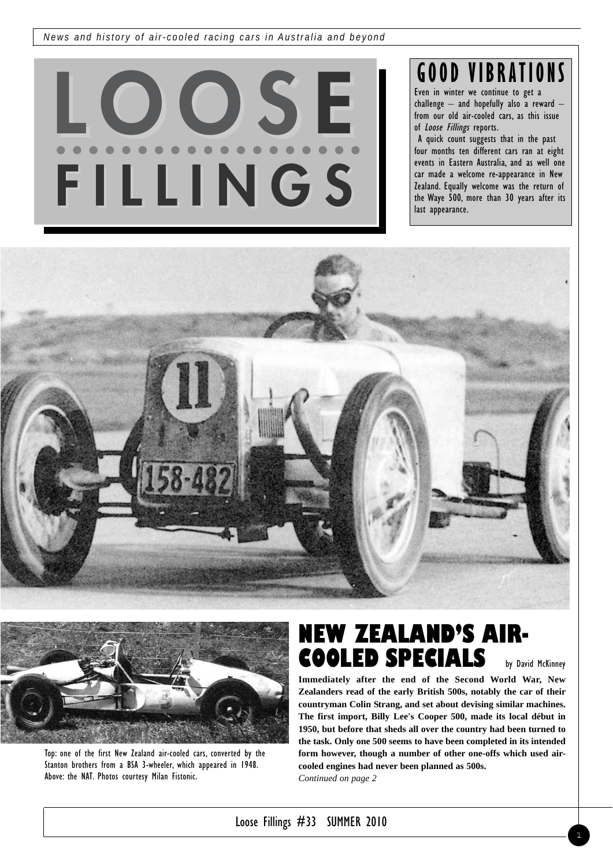*News and history of air-cooled racing cars in Australia and beyond*



# **GOOD VIBRATIONS**

Even in winter we continue to get a challenge – and hopefully also a reward – from our old air-cooled cars, as this issue of Loose Fillings reports.

A quick count suggests that in the past four months ten different cars ran at eight events in Eastern Australia, and as well one car made a welcome re-appearance in New Zealand. Equally welcome was the return of the Waye 500, more than 30 years after its last appearance.





Top: one of the first New Zealand air-cooled cars, converted by the Stanton brothers from a BSA 3-wheeler, which appeared in 1948. Above: the NAT. Photos courtesy Milan Fistonic.

## **NEW ZEALAND'S AIR-COOLED SPECIALS**

by David McKinney

**Immediately after the end of the Second World War, New Zealanders read of the early British 500s, notably the car of their countryman Colin Strang, and set about devising similar machines. The first import, Billy Lee's Cooper 500, made its local début in 1950, but before that sheds all over the country had been turned to the task. Only one 500 seems to have been completed in its intended form however, though a number of other one-offs which used aircooled engines had never been planned as 500s.**  *Continued on page 2*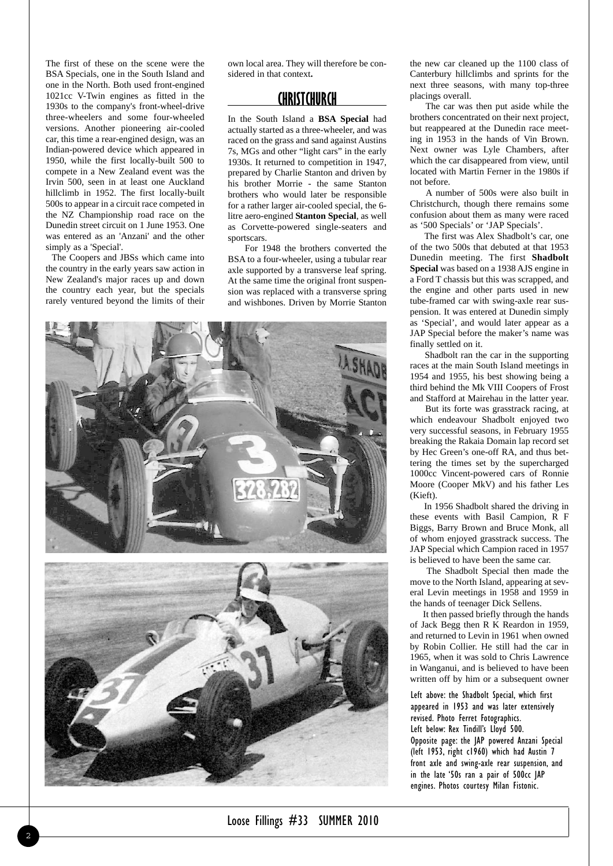The first of these on the scene were the BSA Specials, one in the South Island and one in the North. Both used front-engined 1021cc V-Twin engines as fitted in the 1930s to the company's front-wheel-drive three-wheelers and some four-wheeled versions. Another pioneering air-cooled car, this time a rear-engined design, was an Indian-powered device which appeared in 1950, while the first locally-built 500 to compete in a New Zealand event was the Irvin 500, seen in at least one Auckland hillclimb in 1952. The first locally-built 500s to appear in a circuit race competed in the NZ Championship road race on the Dunedin street circuit on 1 June 1953. One was entered as an 'Anzani' and the other simply as a 'Special'.

The Coopers and JBSs which came into the country in the early years saw action in New Zealand's major races up and down the country each year, but the specials rarely ventured beyond the limits of their

own local area. They will therefore be considered in that context**.**

#### **CHRISTCHURCH**

In the South Island a **BSA Special** had actually started as a three-wheeler, and was raced on the grass and sand against Austins 7s, MGs and other "light cars" in the early 1930s. It returned to competition in 1947, prepared by Charlie Stanton and driven by his brother Morrie - the same Stanton brothers who would later be responsible for a rather larger air-cooled special, the 6 litre aero-engined **Stanton Special**, as well as Corvette-powered single-seaters and sportscars.

For 1948 the brothers converted the BSA to a four-wheeler, using a tubular rear axle supported by a transverse leaf spring. At the same time the original front suspension was replaced with a transverse spring and wishbones. Driven by Morrie Stanton



the new car cleaned up the 1100 class of Canterbury hillclimbs and sprints for the next three seasons, with many top-three placings overall.

The car was then put aside while the brothers concentrated on their next project, but reappeared at the Dunedin race meeting in 1953 in the hands of Vin Brown. Next owner was Lyle Chambers, after which the car disappeared from view, until located with Martin Ferner in the 1980s if not before.

A number of 500s were also built in Christchurch, though there remains some confusion about them as many were raced as '500 Specials' or 'JAP Specials'.

The first was Alex Shadbolt's car, one of the two 500s that debuted at that 1953 Dunedin meeting. The first **Shadbolt Special** was based on a 1938 AJS engine in a Ford T chassis but this was scrapped, and the engine and other parts used in new tube-framed car with swing-axle rear suspension. It was entered at Dunedin simply as 'Special', and would later appear as a JAP Special before the maker's name was finally settled on it.

Shadbolt ran the car in the supporting races at the main South Island meetings in 1954 and 1955, his best showing being a third behind the Mk VIII Coopers of Frost and Stafford at Mairehau in the latter year.

But its forte was grasstrack racing, at which endeavour Shadbolt enjoyed two very successful seasons, in February 1955 breaking the Rakaia Domain lap record set by Hec Green's one-off RA, and thus bettering the times set by the supercharged 1000cc Vincent-powered cars of Ronnie Moore (Cooper MkV) and his father Les (Kieft).

In 1956 Shadbolt shared the driving in these events with Basil Campion, R F Biggs, Barry Brown and Bruce Monk, all of whom enjoyed grasstrack success. The JAP Special which Campion raced in 1957 is believed to have been the same car.

The Shadbolt Special then made the move to the North Island, appearing at several Levin meetings in 1958 and 1959 in the hands of teenager Dick Sellens.

It then passed briefly through the hands of Jack Begg then R K Reardon in 1959, and returned to Levin in 1961 when owned by Robin Collier. He still had the car in 1965, when it was sold to Chris Lawrence in Wanganui, and is believed to have been written off by him or a subsequent owner

Left above: the Shadbolt Special, which first appeared in 1953 and was later extensively revised. Photo Ferret Fotographics. Left below: Rex Tindill's Lloyd 500. Opposite page: the JAP powered Anzani Special (left 1953, right c1960) which had Austin 7 front axle and swing-axle rear suspension, and in the late '50s ran a pair of 500cc JAP engines. Photos courtesy Milan Fistonic.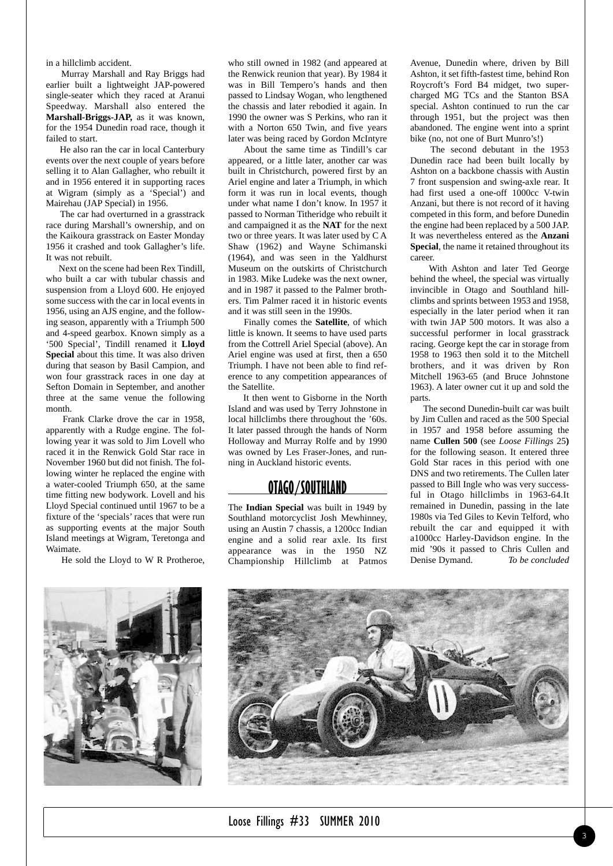in a hillclimb accident.

Murray Marshall and Ray Briggs had earlier built a lightweight JAP-powered single-seater which they raced at Aranui Speedway. Marshall also entered the **Marshall-Briggs-JAP,** as it was known, for the 1954 Dunedin road race, though it failed to start.

He also ran the car in local Canterbury events over the next couple of years before selling it to Alan Gallagher, who rebuilt it and in 1956 entered it in supporting races at Wigram (simply as a 'Special') and Mairehau (JAP Special) in 1956.

The car had overturned in a grasstrack race during Marshall's ownership, and on the Kaikoura grasstrack on Easter Monday 1956 it crashed and took Gallagher's life. It was not rebuilt.

Next on the scene had been Rex Tindill, who built a car with tubular chassis and suspension from a Lloyd 600. He enjoyed some success with the car in local events in 1956, using an AJS engine, and the following season, apparently with a Triumph 500 and 4-speed gearbox. Known simply as a '500 Special', Tindill renamed it **Lloyd Special** about this time. It was also driven during that season by Basil Campion, and won four grasstrack races in one day at Sefton Domain in September, and another three at the same venue the following month.

Frank Clarke drove the car in 1958, apparently with a Rudge engine. The following year it was sold to Jim Lovell who raced it in the Renwick Gold Star race in November 1960 but did not finish. The following winter he replaced the engine with a water-cooled Triumph 650, at the same time fitting new bodywork. Lovell and his Lloyd Special continued until 1967 to be a fixture of the 'specials' races that were run as supporting events at the major South Island meetings at Wigram, Teretonga and Waimate.

He sold the Lloyd to W R Protheroe,

who still owned in 1982 (and appeared at the Renwick reunion that year). By 1984 it was in Bill Tempero's hands and then passed to Lindsay Wogan, who lengthened the chassis and later rebodied it again. In 1990 the owner was S Perkins, who ran it with a Norton 650 Twin, and five years later was being raced by Gordon McIntyre

About the same time as Tindill's car appeared, or a little later, another car was built in Christchurch, powered first by an Ariel engine and later a Triumph, in which form it was run in local events, though under what name I don't know. In 1957 it passed to Norman Titheridge who rebuilt it and campaigned it as the **NAT** for the next two or three years. It was later used by C A Shaw (1962) and Wayne Schimanski (1964), and was seen in the Yaldhurst Museum on the outskirts of Christchurch in 1983. Mike Ludeke was the next owner, and in 1987 it passed to the Palmer brothers. Tim Palmer raced it in historic events and it was still seen in the 1990s.

Finally comes the **Satellite**, of which little is known. It seems to have used parts from the Cottrell Ariel Special (above). An Ariel engine was used at first, then a 650 Triumph. I have not been able to find reference to any competition appearances of the Satellite.

It then went to Gisborne in the North Island and was used by Terry Johnstone in local hillclimbs there throughout the '60s. It later passed through the hands of Norm Holloway and Murray Rolfe and by 1990 was owned by Les Fraser-Jones, and running in Auckland historic events.

### **OTAGO/SOUTHLAND**

The **Indian Special** was built in 1949 by Southland motorcyclist Josh Mewhinney, using an Austin 7 chassis, a 1200cc Indian engine and a solid rear axle. Its first appearance was in the 1950 NZ Championship Hillclimb at Patmos

Avenue, Dunedin where, driven by Bill Ashton, it set fifth-fastest time, behind Ron Roycroft's Ford B4 midget, two supercharged MG TCs and the Stanton BSA special. Ashton continued to run the car through 1951, but the project was then abandoned. The engine went into a sprint bike (no, not one of Burt Munro's!)

The second debutant in the 1953 Dunedin race had been built locally by Ashton on a backbone chassis with Austin 7 front suspension and swing-axle rear. It had first used a one-off 1000cc V-twin Anzani, but there is not record of it having competed in this form, and before Dunedin the engine had been replaced by a 500 JAP. It was nevertheless entered as the **Anzani Special**, the name it retained throughout its career.

With Ashton and later Ted George behind the wheel, the special was virtually invincible in Otago and Southland hillclimbs and sprints between 1953 and 1958, especially in the later period when it ran with twin JAP 500 motors. It was also a successful performer in local grasstrack racing. George kept the car in storage from 1958 to 1963 then sold it to the Mitchell brothers, and it was driven by Ron Mitchell 1963-65 (and Bruce Johnstone 1963). A later owner cut it up and sold the parts.

The second Dunedin-built car was built by Jim Cullen and raced as the 500 Special in 1957 and 1958 before assuming the name **Cullen 500** (see *Loose Fillings* 25**)** for the following season. It entered three Gold Star races in this period with one DNS and two retirements. The Cullen later passed to Bill Ingle who was very successful in Otago hillclimbs in 1963-64.It remained in Dunedin, passing in the late 1980s via Ted Giles to Kevin Telford, who rebuilt the car and equipped it with a1000cc Harley-Davidson engine. In the mid '90s it passed to Chris Cullen and Denise Dymand. *To be concluded*





Loose Fillings #33 SUMMER 2010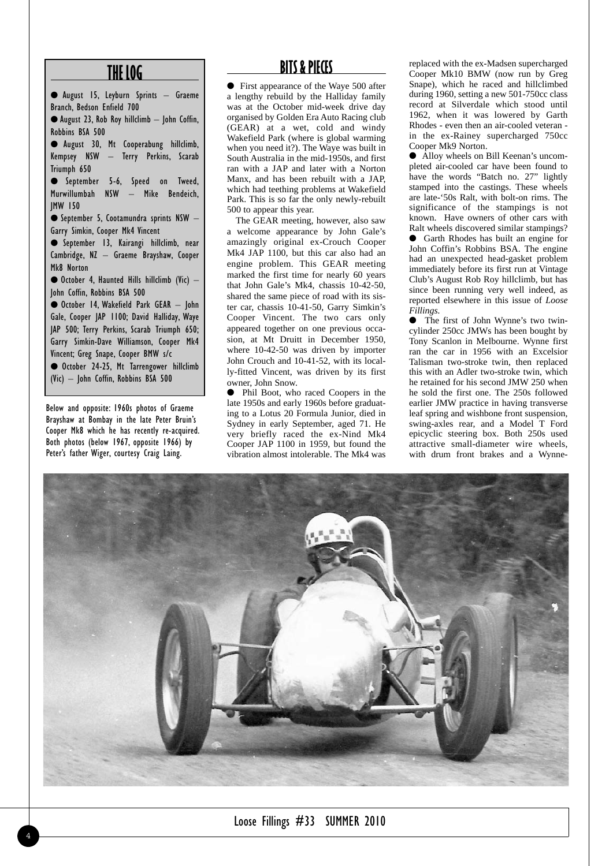### **THE LOG**

● August 15, Leyburn Sprints – Graeme Branch, Bedson Enfield 700 ● August 23, Rob Roy hillclimb – John Coffin, Robbins BSA 500 ● August 30, Mt Cooperabung hillclimb, Kempsey NSW – Terry Perkins, Scarab Triumph 650 ● September 5-6, Speed on Tweed, Murwillumbah NSW – Mike Bendeich, JMW 150 ● September 5, Cootamundra sprints NSW – Garry Simkin, Cooper Mk4 Vincent ● September 13, Kairangi hillclimb, near Cambridge, NZ – Graeme Brayshaw, Cooper Mk8 Norton ● October 4, Haunted Hills hillclimb (Vic) – John Coffin, Robbins BSA 500 ● October 14, Wakefield Park GEAR – John Gale, Cooper JAP 1100; David Halliday, Waye JAP 500; Terry Perkins, Scarab Triumph 650; Garry Simkin-Dave Williamson, Cooper Mk4 Vincent; Greg Snape, Cooper BMW s/c ● October 24-25, Mt Tarrengower hillclimb (Vic) – John Coffin, Robbins BSA 500

Below and opposite: 1960s photos of Graeme Brayshaw at Bombay in the late Peter Bruin's Cooper Mk8 which he has recently re-acquired. Both photos (below 1967, opposite 1966) by Peter's father Wiger, courtesy Craig Laing.

## **BITS & PIECES**

● First appearance of the Waye 500 after a lengthy rebuild by the Halliday family was at the October mid-week drive day organised by Golden Era Auto Racing club (GEAR) at a wet, cold and windy Wakefield Park (where is global warming when you need it?). The Waye was built in South Australia in the mid-1950s, and first ran with a JAP and later with a Norton Manx, and has been rebuilt with a JAP, which had teething problems at Wakefield Park. This is so far the only newly-rebuilt 500 to appear this year.

The GEAR meeting, however, also saw a welcome appearance by John Gale's amazingly original ex-Crouch Cooper Mk4 JAP 1100, but this car also had an engine problem. This GEAR meeting marked the first time for nearly 60 years that John Gale's Mk4, chassis 10-42-50, shared the same piece of road with its sister car, chassis 10-41-50, Garry Simkin's Cooper Vincent. The two cars only appeared together on one previous occasion, at Mt Druitt in December 1950, where 10-42-50 was driven by importer John Crouch and 10-41-52, with its locally-fitted Vincent, was driven by its first owner, John Snow.

● Phil Boot, who raced Coopers in the late 1950s and early 1960s before graduating to a Lotus 20 Formula Junior, died in Sydney in early September, aged 71. He very briefly raced the ex-Nind Mk4 Cooper JAP 1100 in 1959, but found the vibration almost intolerable. The Mk4 was

replaced with the ex-Madsen supercharged Cooper Mk10 BMW (now run by Greg Snape), which he raced and hillclimbed during 1960, setting a new 501-750cc class record at Silverdale which stood until 1962, when it was lowered by Garth Rhodes - even then an air-cooled veteran in the ex-Rainey supercharged 750cc Cooper Mk9 Norton.

● Alloy wheels on Bill Keenan's uncompleted air-cooled car have been found to have the words "Batch no. 27" lightly stamped into the castings. These wheels are late-'50s Ralt, with bolt-on rims. The significance of the stampings is not known. Have owners of other cars with Ralt wheels discovered similar stampings? ● Garth Rhodes has built an engine for John Coffin's Robbins BSA. The engine had an unexpected head-gasket problem immediately before its first run at Vintage Club's August Rob Roy hillclimb, but has since been running very well indeed, as reported elsewhere in this issue of *Loose Fillings.*

● The first of John Wynne's two twincylinder 250cc JMWs has been bought by Tony Scanlon in Melbourne. Wynne first ran the car in 1956 with an Excelsior Talisman two-stroke twin, then replaced this with an Adler two-stroke twin, which he retained for his second JMW 250 when he sold the first one. The 250s followed earlier JMW practice in having transverse leaf spring and wishbone front suspension, swing-axles rear, and a Model T Ford epicyclic steering box. Both 250s used attractive small-diameter wire wheels, with drum front brakes and a Wynne-

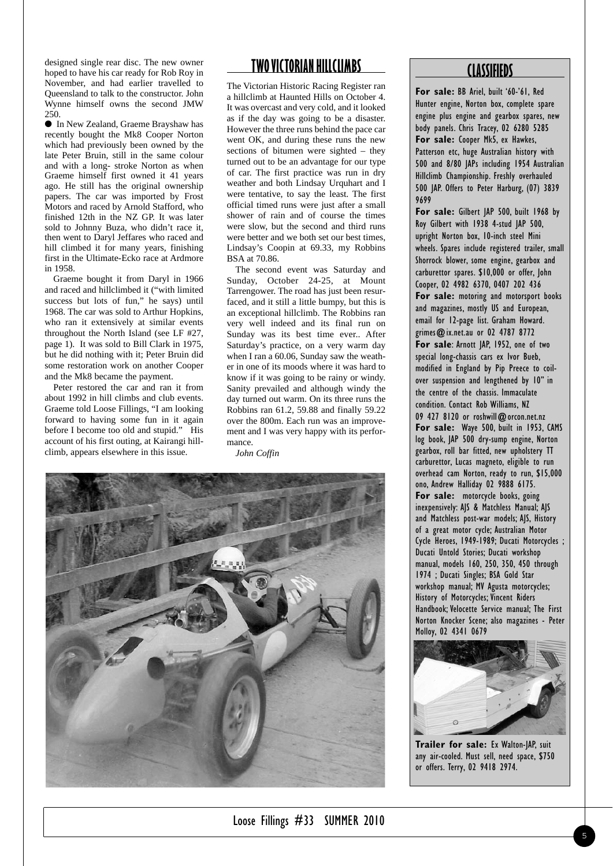designed single rear disc. The new owner hoped to have his car ready for Rob Roy in November, and had earlier travelled to Queensland to talk to the constructor. John Wynne himself owns the second JMW 250.

● In New Zealand, Graeme Brayshaw has recently bought the Mk8 Cooper Norton which had previously been owned by the late Peter Bruin, still in the same colour and with a long- stroke Norton as when Graeme himself first owned it 41 years ago. He still has the original ownership papers. The car was imported by Frost Motors and raced by Arnold Stafford, who finished 12th in the NZ GP. It was later sold to Johnny Buza, who didn't race it, then went to Daryl Jeffares who raced and hill climbed it for many years, finishing first in the Ultimate-Ecko race at Ardmore in 1958.

Graeme bought it from Daryl in 1966 and raced and hillclimbed it ("with limited success but lots of fun," he says) until 1968. The car was sold to Arthur Hopkins, who ran it extensively at similar events throughout the North Island (see LF #27, page 1). It was sold to Bill Clark in 1975, but he did nothing with it; Peter Bruin did some restoration work on another Cooper and the Mk8 became the payment.

Peter restored the car and ran it from about 1992 in hill climbs and club events. Graeme told Loose Fillings, "I am looking forward to having some fun in it again before I become too old and stupid." His account of his first outing, at Kairangi hillclimb, appears elsewhere in this issue.

## **TWO VICTORIAN HILLCLIMBS**

The Victorian Historic Racing Register ran a hillclimb at Haunted Hills on October 4. It was overcast and very cold, and it looked as if the day was going to be a disaster. However the three runs behind the pace car went OK, and during these runs the new sections of bitumen were sighted – they turned out to be an advantage for our type of car. The first practice was run in dry weather and both Lindsay Urquhart and I were tentative, to say the least. The first official timed runs were just after a small shower of rain and of course the times were slow, but the second and third runs were better and we both set our best times, Lindsay's Coopin at 69.33, my Robbins BSA at 70.86.

The second event was Saturday and Sunday, October 24-25, at Mount Tarrengower. The road has just been resurfaced, and it still a little bumpy, but this is an exceptional hillclimb. The Robbins ran very well indeed and its final run on Sunday was its best time ever.. After Saturday's practice, on a very warm day when I ran a 60.06, Sunday saw the weather in one of its moods where it was hard to know if it was going to be rainy or windy. Sanity prevailed and although windy the day turned out warm. On its three runs the Robbins ran 61.2, 59.88 and finally 59.22 over the 800m. Each run was an improvement and I was very happy with its performance.

*John Coffin*



#### **CLASSIFIEDS**

**For sale:** BB Ariel, built '60-'61, Red Hunter engine, Norton box, complete spare engine plus engine and gearbox spares, new body panels. Chris Tracey, 02 6280 5285 **For sale:** Cooper Mk5, ex Hawkes, Patterson etc, huge Australian history with 500 and 8/80 JAPs including 1954 Australian Hillclimb Championship. Freshly overhauled 500 JAP. Offers to Peter Harburg, (07) 3839 9699

**For sale:** Gilbert JAP 500, built 1968 by Roy Gilbert with 1938 4-stud JAP 500, upright Norton box, 10-inch steel Mini wheels. Spares include registered trailer, small Shorrock blower, some engine, gearbox and carburettor spares. \$10,000 or offer, John Cooper, 02 4982 6370, 0407 202 436 **For sale:** motoring and motorsport books and magazines, mostly US and European, email for 12-page list. Graham Howard. grimes@ix.net.au or 02 4787 8772 **For sale**: Arnott JAP, 1952, one of two special long-chassis cars ex Ivor Bueb, modified in England by Pip Preece to coilover suspension and lengthened by 10" in the centre of the chassis. Immaculate condition. Contact Rob Williams, NZ 09 427 8120 or roshwill@orcon.net.nz **For sale:** Waye 500, built in 1953, CAMS log book, JAP 500 dry-sump engine, Norton gearbox, roll bar fitted, new upholstery TT carburettor, Lucas magneto, eligible to run overhead cam Norton, ready to run, \$15,000 ono, Andrew Halliday 02 9888 6175. **For sale:** motorcycle books, going inexpensively: AJS & Matchless Manual; AJS and Matchless post-war models; AJS, History of a great motor cycle; Australian Motor Cycle Heroes, 1949-1989; Ducati Motorcycles ; Ducati Untold Stories; Ducati workshop manual, models 160, 250, 350, 450 through 1974 ; Ducati Singles; BSA Gold Star workshop manual; MV Agusta motorcycles; History of Motorcycles; Vincent Riders Handbook; Velocette Service manual; The First Norton Knocker Scene; also magazines - Peter Molloy, 02 4341 0679



**Trailer for sale:** Ex Walton-JAP, suit any air-cooled. Must sell, need space, \$750 or offers. Terry, 02 9418 2974.